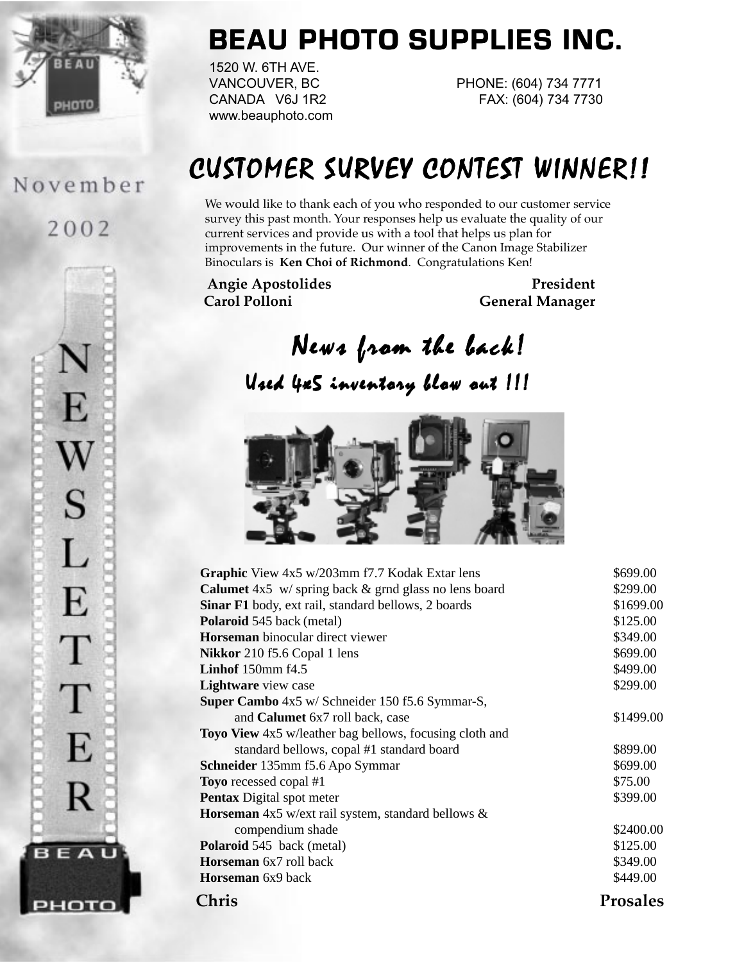

# **BEAU PHOTO SUPPLIES INC.**

1520 W. 6TH AVE. www.beauphoto.com

VANCOUVER, BC PHONE: (604) 734 7771 CANADA V6J 1R2 FAX: (604) 734 7730

# CUSTOMER SURVEY CONTEST WINNER!!

We would like to thank each of you who responded to our customer service survey this past month. Your responses help us evaluate the quality of our current services and provide us with a tool that helps us plan for improvements in the future. Our winner of the Canon Image Stabilizer Binoculars is **Ken Choi of Richmond**. Congratulations Ken!

Angie Apostolides **President Carol Polloni General Manager**

# News from the back!

Uzed 4x5 inventory blow out !!!



| Chris                                                          | <b>Prosales</b> |
|----------------------------------------------------------------|-----------------|
| <b>Horseman</b> 6x9 back                                       | \$449.00        |
| <b>Horseman</b> 6x7 roll back                                  | \$349.00        |
| <b>Polaroid</b> 545 back (metal)                               | \$125.00        |
| compendium shade                                               | \$2400.00       |
| <b>Horseman</b> $4x5$ w/ext rail system, standard bellows $\&$ |                 |
| <b>Pentax</b> Digital spot meter                               | \$399.00        |
| <b>Toyo</b> recessed copal #1                                  | \$75.00         |
| <b>Schneider</b> 135mm f5.6 Apo Symmar                         | \$699.00        |
| standard bellows, copal #1 standard board                      | \$899.00        |
| <b>Toyo View</b> 4x5 w/leather bag bellows, focusing cloth and |                 |
| and <b>Calumet</b> 6x7 roll back, case                         | \$1499.00       |
| Super Cambo 4x5 w/ Schneider 150 f5.6 Symmar-S,                |                 |
| Lightware view case                                            | \$299.00        |
| Linhof 150mm f4.5                                              | \$499.00        |
| <b>Nikkor</b> 210 f5.6 Copal 1 lens                            | \$699.00        |
| <b>Horseman</b> binocular direct viewer                        | \$349.00        |
| <b>Polaroid</b> 545 back (metal)                               | \$125.00        |
| <b>Sinar F1</b> body, ext rail, standard bellows, 2 boards     | \$1699.00       |
| <b>Calumet</b> $4x5$ w/spring back & grnd glass no lens board  | \$299.00        |
| Graphic View 4x5 w/203mm f7.7 Kodak Extar lens                 | \$699.00        |

November

2002